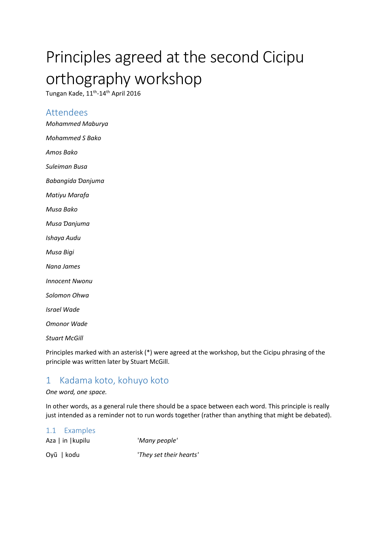# Principles agreed at the second Cicipu orthography workshop

Tungan Kaɗe, 11<sup>th</sup>-14<sup>th</sup> April 2016

### Attendees

*Mohammed Maburya Mohammed S Bako*

*Amos Bako*

*Suleiman Busa*

*Babangida Ɗanjuma*

*Matiyu Marafa*

*Musa Bako*

*Musa Ɗanjuma*

*Ishaya Audu*

*Musa Bigi*

*Nana James*

*Innocent Nwonu*

*Solomon Ohwa*

*Israel Wade*

*Omonor Wade*

*Stuart McGill*

Principles marked with an asterisk (\*) were agreed at the workshop, but the Cicipu phrasing of the principle was written later by Stuart McGill.

### 1 Kadama koto, kohuyo koto

#### *One word, one space.*

In other words, as a general rule there should be a space between each word. This principle is really just intended as a reminder not to run words together (rather than anything that might be debated).

| 1.1 Examples      |                         |
|-------------------|-------------------------|
| Aza   in   kupilu | 'Many people'           |
| Oyũ   kodu        | 'They set their hearts' |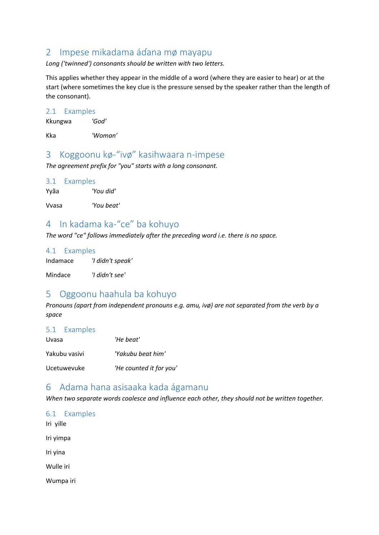# 2 Impese mikadama áɗana mø mayapu

*Long ('twinned') consonants should be written with two letters.*

This applies whether they appear in the middle of a word (where they are easier to hear) or at the start (where sometimes the key clue is the pressure sensed by the speaker rather than the length of the consonant).

2.1 Examples

Kkungwa *'God'*

Kka *'Woman'*

### 3 Koggoonu kø-"ivø" kasihwaara n-impese

*The agreement prefix for "you" starts with a long consonant.*

3.1 Examples

Yyãa *'You did'*

Vvasa *'You beat'*

# 4 In kadama ka-"ce" ba kohuyo

*The word "ce" follows immediately after the preceding word i.e. there is no space.*

#### 4.1 Examples

| Indamace | 'I didn't speak' |
|----------|------------------|
|----------|------------------|

Mindace *'I didn't see'*

# 5 Oggoonu haahula ba kohuyo

*Pronouns (apart from independent pronouns e.g. amu, ivø) are not separated from the verb by a space*

#### 5.1 Examples

| Uvasa         | 'He beat'               |
|---------------|-------------------------|
| Yakubu vasivi | 'Yakubu beat him'       |
| Ucetuwevuke   | 'He counted it for you' |

### 6 Adama hana asisaaka kada ágamanu

*When two separate words coalesce and influence each other, they should not be written together.* 

6.1 Examples Iri yille Iri yimpa Iri yina Wulle iri Wumpa iri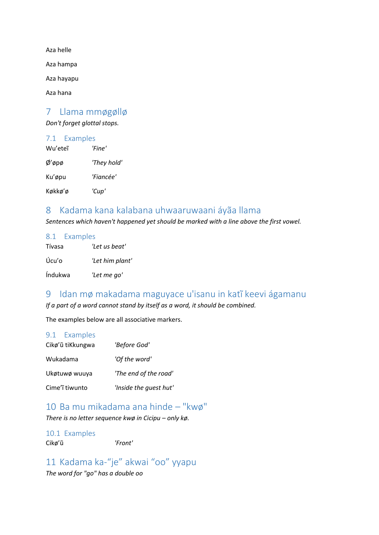Aza helle

Aza hampa

Aza hayapu

Aza hana

### 7 Llama mmøgøllø

*Don't forget glottal stops.*

#### 7.1 Examples

| Wu'eteî     | 'Fine'      |
|-------------|-------------|
| $\phi'$ øpø | 'They hold' |
| Ku'øpu      | 'Fiancée'   |
| Køkkø'ø     | 'Cup'       |

### 8 Kadama kana kalabana uhwaaruwaani áyãa llama

*Sentences which haven't happened yet should be marked with a line above the first vowel.*

#### 8.1 Examples

| Tívasa  | 'Let us beat'   |
|---------|-----------------|
| Úcu'o   | 'Let him plant' |
| Índukwa | 'Let me go'     |

# 9 Idan mø makadama maguyace u'isanu in katĩ keevi ágamanu

*If a part of a word cannot stand by itself as a word, it should be combined.*

The examples below are all associative markers.

#### 9.1 Examples

| Cikø'ũ tiKkungwa | 'Before God'           |
|------------------|------------------------|
| Wukadama         | 'Of the word'          |
| Ukøtuwø wuuya    | 'The end of the road'  |
| Cime'i tiwunto   | 'Inside the quest hut' |

# 10 Ba mu mikadama ana hinde – "kwø"

*There is no letter sequence kwø in Cicipu – only kø.* 

#### 10.1 Examples

Cikø'ũ *'Front'*

### 11 Kadama ka-"je" akwai "oo" yyapu

*The word for "go" has a double oo*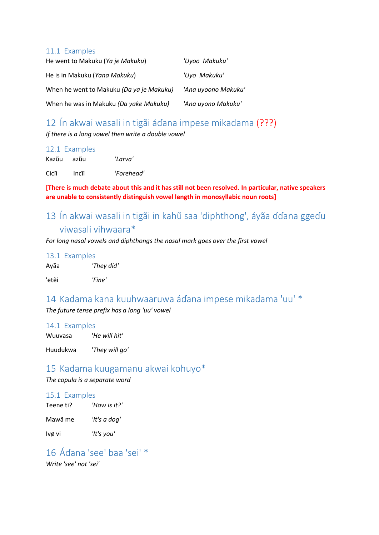#### 11.1 Examples

| He went to Makuku (Ya je Makuku)         | 'Uyoo Makuku'       |
|------------------------------------------|---------------------|
| He is in Makuku (Yana Makuku)            | 'Uyo Makuku'        |
| When he went to Makuku (Da ya je Makuku) | 'Ana uyoono Makuku' |
| When he was in Makuku (Da yake Makuku)   | 'Ana uyono Makuku'  |

# 12 Ín akwai wasali in tigãi áɗana impese mikadama (???)

*If there is a long vowel then write a double vowel*

|       | 12.1 Examples |            |
|-------|---------------|------------|
|       | Kazũu azũu    | 'Larva'    |
| Cicîi | Incîi         | 'Forehead' |

**[There is much debate about this and it has still not been resolved. In particular, native speakers are unable to consistently distinguish vowel length in monosyllabic noun roots]**

# 13 Ín akwai wasali in tigãi in kahũ saa 'diphthong', áyãa ɗɗana ggeɗu viwasali vihwaara\*

*For long nasal vowels and diphthongs the nasal mark goes over the first vowel*

13.1 Examples

| Ayãa | 'They did' |
|------|------------|
|      |            |

'etẽi *'Fine'*

# 14 Kadama kana kuuhwaaruwa áɗana impese mikadama 'uu' \*

*The future tense prefix has a long 'uu' vowel*

#### 14.1 Examples

Wuuvasa '*He will hit'*

Huudukwa '*They will go'*

### 15 Kadama kuugamanu akwai kohuyo\*

*The copula is a separate word*

#### 15.1 Examples

| Teene ti? | 'How is it?' |
|-----------|--------------|
| Mawã me   | 'It's a dog' |
| lvø vi    | 'It's you'   |

16 Áɗana 'see' baa 'sei' \* *Write 'see' not 'sei'*